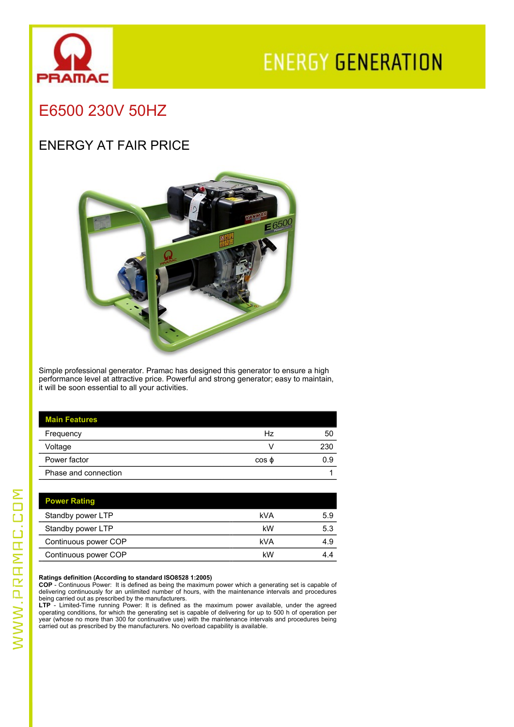

# **ENERGY GENERATION**

## E6500 230V 50HZ

### ENERGY AT FAIR PRICE



Simple professional generator. Pramac has designed this generator to ensure a high performance level at attractive price. Powerful and strong generator; easy to maintain, it will be soon essential to all your activities.

| <b>Main Features</b> |       |     |
|----------------------|-------|-----|
| Frequency            | Hz    | 50  |
| Voltage              |       | 230 |
| Power factor         | cos φ | 0.9 |
| Phase and connection |       |     |

| <b>Power Rating</b>  |     |     |
|----------------------|-----|-----|
| Standby power LTP    | kVA | 5.9 |
| Standby power LTP    | kW  | 5.3 |
| Continuous power COP | kVA | 4.9 |
| Continuous power COP | kW  | 4.4 |

**Ratings definition (According to standard ISO8528 1:2005)**<br>COP - Continuous Power: It is defined as being the maximum power which a generating set is capable of<br>delivering continuously for an unlimited number of hours, wi being carried out as prescribed by the manufacturers.

**LTP** - Limited-Time running Power: It is defined as the maximum power available, under the agreed operating conditions, for which the generating set is capable of delivering for up to 500 h of operation per year (whose no more than 300 for continuative use) with the maintenance intervals and procedures being carried out as prescribed by the manufacturers. No overload capability is available.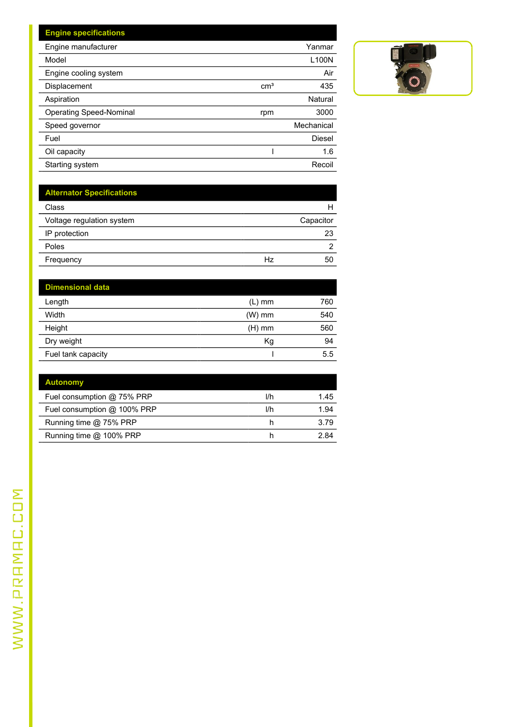| <b>Engine specifications</b>   |                 |            |
|--------------------------------|-----------------|------------|
| Engine manufacturer            |                 | Yanmar     |
| Model                          |                 | L100N      |
| Engine cooling system          |                 | Air        |
| Displacement                   | cm <sup>3</sup> | 435        |
| Aspiration                     |                 | Natural    |
| <b>Operating Speed-Nominal</b> | rpm             | 3000       |
| Speed governor                 |                 | Mechanical |
| Fuel                           |                 | Diesel     |
| Oil capacity                   |                 | 1.6        |
| Starting system                |                 | Recoil     |

| <b>Alternator Specifications</b> |    |                |
|----------------------------------|----|----------------|
| Class                            |    | н              |
| Voltage regulation system        |    | Capacitor      |
| IP protection                    |    | 23             |
| Poles                            |    | $\overline{2}$ |
| Frequency                        | Hz | 50             |
|                                  |    |                |

| <b>Dimensional data</b> |          |     |
|-------------------------|----------|-----|
| Length                  | $(L)$ mm | 760 |
| Width                   | (W) mm   | 540 |
| Height                  | $(H)$ mm | 560 |
| Dry weight              | Кg       | 94  |
| Fuel tank capacity      |          | 5.5 |

| <b>Autonomy</b>               |     |      |
|-------------------------------|-----|------|
| Fuel consumption $@$ 75% PRP  | l/h | 1.45 |
| Fuel consumption $@$ 100% PRP | l/h | 1.94 |
| Running time @ 75% PRP        | n   | 3.79 |
| Running time @ 100% PRP       | h   | 2 84 |